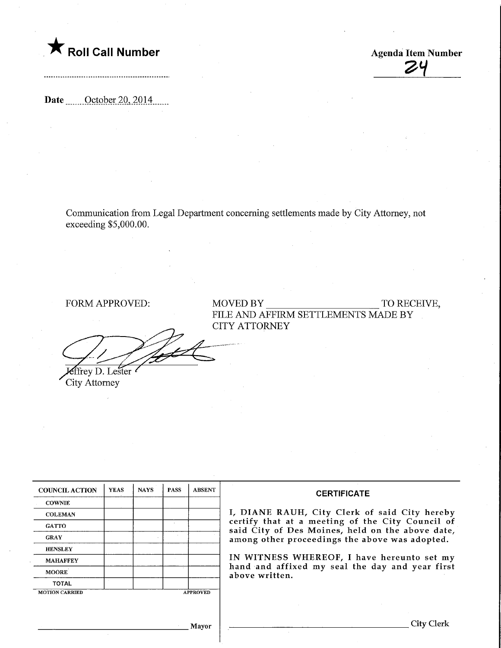

 $\overline{z}$ 4

Date <u>Corober 20, 2014</u>

Communication from Legal Department concerning settlements made by City Attorney, not exceeding \$5,000.00.

**Effrey D. Lester** 

City Attorney

FORM APPROVED: MOVED BY TO RECEIVE, FILE AND AFFIRM SETTLEMENTS MADE BY CITY ATTORNEY

| <b>COUNCIL ACTION</b> | <b>YEAS</b> | <b>NAYS</b> | <b>PASS</b> | <b>ABSENT</b>   | <b>CERTIFICATE</b>                                                                                                                                                                                      |  |  |
|-----------------------|-------------|-------------|-------------|-----------------|---------------------------------------------------------------------------------------------------------------------------------------------------------------------------------------------------------|--|--|
| <b>COWNIE</b>         |             |             |             |                 |                                                                                                                                                                                                         |  |  |
| <b>COLEMAN</b>        |             |             |             |                 | I, DIANE RAUH, City Clerk of said City hereby<br>certify that at a meeting of the City Council of<br>said City of Des Moines, held on the above date,<br>among other proceedings the above was adopted. |  |  |
| <b>GATTO</b>          |             |             |             |                 |                                                                                                                                                                                                         |  |  |
| <b>GRAY</b>           |             |             |             |                 |                                                                                                                                                                                                         |  |  |
| <b>HENSLEY</b>        |             |             |             |                 |                                                                                                                                                                                                         |  |  |
| <b>MAHAFFEY</b>       |             |             |             |                 | IN WITNESS WHEREOF, I have hereunto set my<br>hand and affixed my seal the day and year first<br>above written.                                                                                         |  |  |
| <b>MOORE</b>          |             |             |             |                 |                                                                                                                                                                                                         |  |  |
| <b>TOTAL</b>          |             |             |             |                 |                                                                                                                                                                                                         |  |  |
| <b>MOTION CARRIED</b> |             |             |             | <b>APPROVED</b> |                                                                                                                                                                                                         |  |  |
|                       |             |             |             |                 |                                                                                                                                                                                                         |  |  |
|                       |             |             |             |                 |                                                                                                                                                                                                         |  |  |
| Mavor                 |             |             |             |                 | City Clerl                                                                                                                                                                                              |  |  |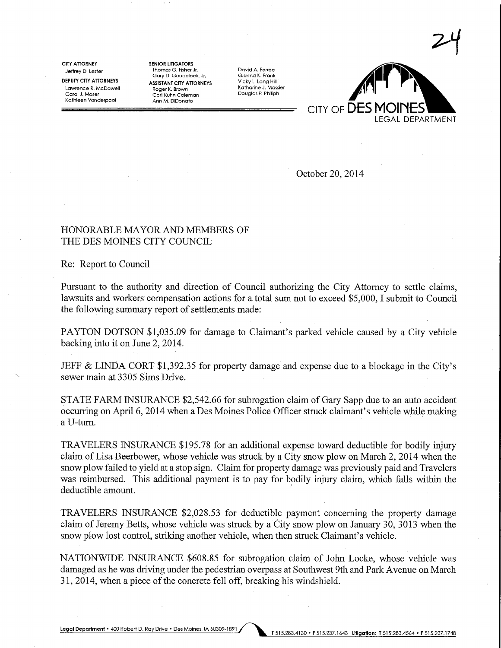CITY ATTORNEY Jeffrey D. Lester

DEPUTY CITY ATTORNEYS Lawrence R. McDowell Carol J. Moser Kathleen Vanderpool

SENIOR LITIGATORS Thomas G. Fisher Jr. Gary D. Goudelock, Jr. ASSISTANT CITY ATTORNEYS Roger K- Brown Cori Kuhn Coleman Ann M. DiDonato

David A. Ferree Glenna K. Frank Vicky L. Long Hill Katharine J. Massier Douglas P. Philiph



October 20, 2014

## HONORABLE MAYOR AND MEMBERS OF THE DES MOINES CITY COUNCIL

Re: Report to Council

Pursuant to the authority and direction of Council authorizing the City Attorney to settle claims, lawsuits and workers compensation actions for a total sum not to exceed \$5,000,1 submit to Council the following summary report of settlements made:

PAYTON DOTSON \$1,035.09 for damage to Claimant's parked vehicle caused by a City vehicle backing into it on June 2,2014.

JEFF & LINDA CORT \$1,392.35 for property damage and expense due to a blockage in the City's sewer main at 3305 Sims Drive.

STATE FARM INSURANCE \$2,542.66 for subrogation claim of Gary Sapp due to an auto accident occurring on April 6, 2014 when a Des Moines Police Officer stmck claimant's vehicle while making a U-tum.

TRAVELERS INSURANCE \$195.78 for an additional expense toward deductible for bodily injury claim of Lisa Beerbower, whose vehicle was stmck by a City snow plow on March 2, 2014 when the snow plow failed to yield at a stop sign. Claim for property damage was previously paid and Travelers was reimbursed. This additional payment is to pay for bodily injury claim, which falls within the deductible amount.

TRAVELERS INSURANCE \$2,028.53 for deductible payment concerning the property damage claim of Jeremy Betts, whose vehicle was struck by a City snow plow on January 30, 3013 when the snow plow lost control, striking another vehicle, when then struck Claimant's vehicle.

NATIONWIDE INSURANCE \$608.85 for subrogation claim of John Locke, whose vehicle was damaged as he was driving under the pedestrian overpass at Southwest 9th and Park Avenue on March 31, 2014, when a piece of the concrete fell off, breaking his windshield.

Legal Department • 400 Robert D. Ray Drive • Des Moines, IA 50309-1891 [515.283.4130 • F 515.237.1643 Litigation: T515.283.4564 • F515.237.1748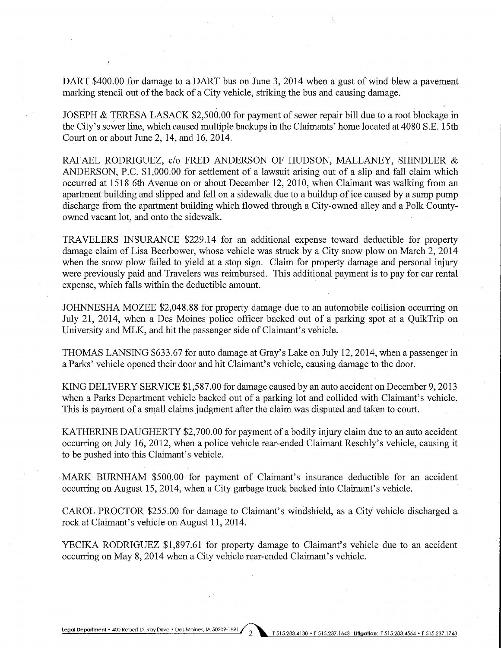DART \$400.00 for damage to a DART bus on June 3, 2014 when a gust of wind blew a pavement marking stencil out of the back of a City vehicle, striking the bus and causing damage.

JOSEPH & TERESA LASACK \$2,500.00 for payment of sewer repair bill due to a root blockage in the City's sewer line, which caused multiple backups in the Claimants' home located at 4080 S.E. 15th Court on or about June 2, 14, and 16, 2014.

RAFAEL RODRIGUEZ, c/o FRED ANDERSON OF HUDSON, MALLANEY, SHINDLER & ANDERSON, P.C. \$1,000.00 for settlement of a lawsuit arising out of a slip and fall claim which occurred at 1518 6th Avenue on or about December 12, 2010, when Claimant was walking from an apartment building and slipped and fell on a sidewalk due to a buildup of ice caused by a sump pump discharge from the apartment building which flowed through a City-owned alley and a Polk Countyowned vacant lot, and onto the sidewalk.

TRAVELERS INSURANCE \$229.14 for an additional expense toward deductible for property damage claim of Lisa Beerbower, whose vehicle was struck by a City snow plow on March 2,2014 when the snow plow failed to yield at a stop sign. Claim for property damage and personal injury were previously paid and Travelers was reimbursed. This additional payment is to pay for car rental expense, which falls within the deductible amount.

JOHNNESHA MOZEE \$2,048.88 for property damage due to an automobile collision occurring on July 21, 2014, when a Des Moines police officer backed out of a parking spot at a QuikTrip on University and MLK, and hit the passenger side of Claimant's vehicle.

THOMAS LANSING \$633.67 for auto damage at Gray's Lake on July 12, 2014, when a passenger in a Parks' vehicle opened their door and hit Claimant's vehicle, causing damage to the door.

KING DELIVERY SERVICE \$1,587.00 for damage caused by an auto accident on December 9,2013 when a Parks Department vehicle backed out of a parking lot and collided with Claimant's vehicle. This is payment of a small claims judgment after the claim was disputed and taken to court.

KATHERINE DAUGHERTY \$2,700.00 for payment of a bodily injury claim due to an auto accident occurring on July 16, 2012, when a police vehicle rear-ended Claimant Reschly's vehicle, causing it to be pushed into this Claimant's vehicle.

MARK BURNHAM \$500.00 for payment of Claimant's insurance deductible for an accident occurring on August 15, 2014, when a City garbage truck backed into Claimant's vehicle.

CAROL PROCTOR \$255.00 for damage to Claimant's windshield, as a City vehicle discharged a rock at Claimant's vehicle on August 11, 2014.

YECIKA RODRIGUEZ \$1,897.61 for property damage to Claimant's vehicle due to an accident occurring on May 8, 2014 when a City vehicle rear-ended Claimant's vehicle.